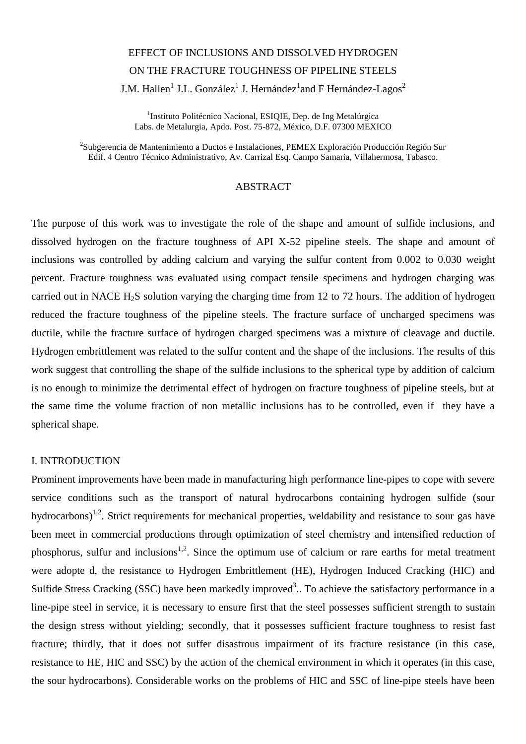# EFFECT OF INCLUSIONS AND DISSOLVED HYDROGEN ON THE FRACTURE TOUGHNESS OF PIPELINE STEELS J.M. Hallen $^1$  J.L. González $^1$  J. Hernández $^1$ and F Hernández-Lagos $^2$

<sup>1</sup>Instituto Politécnico Nacional, ESIQIE, Dep. de Ing Metalúrgica Labs. de Metalurgia, Apdo. Post. 75-872, México, D.F. 07300 MEXICO

 $^{2}$ Subgerencia de Mantenimiento a Ductos e Instalaciones, PEMEX Exploración Producción Región Sur Edif. 4 Centro Técnico Administrativo, Av. Carrizal Esq. Campo Samaria, Villahermosa, Tabasco.

## ABSTRACT

The purpose of this work was to investigate the role of the shape and amount of sulfide inclusions, and dissolved hydrogen on the fracture toughness of API X-52 pipeline steels. The shape and amount of inclusions was controlled by adding calcium and varying the sulfur content from 0.002 to 0.030 weight percent. Fracture toughness was evaluated using compact tensile specimens and hydrogen charging was carried out in NACE  $H_2S$  solution varying the charging time from 12 to 72 hours. The addition of hydrogen reduced the fracture toughness of the pipeline steels. The fracture surface of uncharged specimens was ductile, while the fracture surface of hydrogen charged specimens was a mixture of cleavage and ductile. Hydrogen embrittlement was related to the sulfur content and the shape of the inclusions. The results of this work suggest that controlling the shape of the sulfide inclusions to the spherical type by addition of calcium is no enough to minimize the detrimental effect of hydrogen on fracture toughness of pipeline steels, but at the same time the volume fraction of non metallic inclusions has to be controlled, even if they have a spherical shape.

# I. INTRODUCTION

Prominent improvements have been made in manufacturing high performance line-pipes to cope with severe service conditions such as the transport of natural hydrocarbons containing hydrogen sulfide (sour hydrocarbons)<sup>1,2</sup>. Strict requirements for mechanical properties, weldability and resistance to sour gas have been meet in commercial productions through optimization of steel chemistry and intensified reduction of phosphorus, sulfur and inclusions<sup>1,2</sup>. Since the optimum use of calcium or rare earths for metal treatment were adopte d, the resistance to Hydrogen Embrittlement (HE), Hydrogen Induced Cracking (HIC) and Sulfide Stress Cracking (SSC) have been markedly improved<sup>3</sup>.. To achieve the satisfactory performance in a line-pipe steel in service, it is necessary to ensure first that the steel possesses sufficient strength to sustain the design stress without yielding; secondly, that it possesses sufficient fracture toughness to resist fast fracture; thirdly, that it does not suffer disastrous impairment of its fracture resistance (in this case, resistance to HE, HIC and SSC) by the action of the chemical environment in which it operates (in this case, the sour hydrocarbons). Considerable works on the problems of HIC and SSC of line-pipe steels have been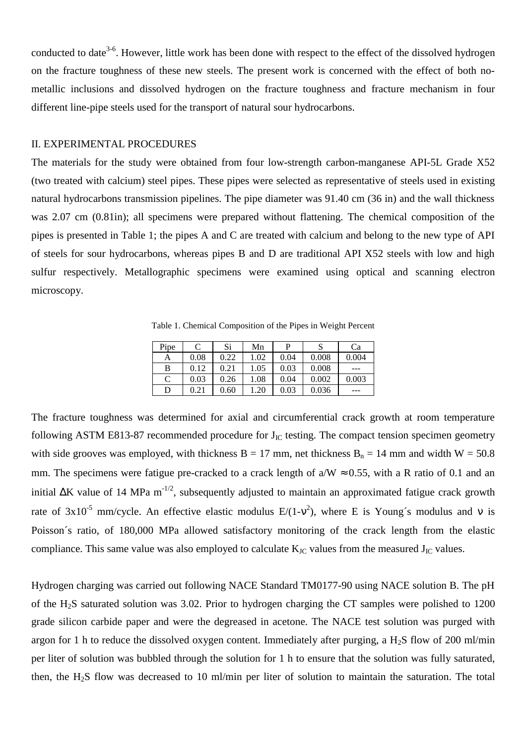conducted to date<sup>3-6</sup>. However, little work has been done with respect to the effect of the dissolved hydrogen on the fracture toughness of these new steels. The present work is concerned with the effect of both nometallic inclusions and dissolved hydrogen on the fracture toughness and fracture mechanism in four different line-pipe steels used for the transport of natural sour hydrocarbons.

## II. EXPERIMENTAL PROCEDURES

The materials for the study were obtained from four low-strength carbon-manganese API-5L Grade X52 (two treated with calcium) steel pipes. These pipes were selected as representative of steels used in existing natural hydrocarbons transmission pipelines. The pipe diameter was 91.40 cm (36 in) and the wall thickness was 2.07 cm (0.81in); all specimens were prepared without flattening. The chemical composition of the pipes is presented in Table 1; the pipes A and C are treated with calcium and belong to the new type of API of steels for sour hydrocarbons, whereas pipes B and D are traditional API X52 steels with low and high sulfur respectively. Metallographic specimens were examined using optical and scanning electron microscopy.

Table 1. Chemical Composition of the Pipes in Weight Percent

| Pipe |      | Si   | Mn   | D    |       | Ca    |
|------|------|------|------|------|-------|-------|
| A    | 0.08 | 0.22 | 1.02 | 0.04 | 0.008 | 0.004 |
| B    | 0.12 | 0.21 | 1.05 | 0.03 | 0.008 | ---   |
| C    | 0.03 | 0.26 | 1.08 | 0.04 | 0.002 | 0.003 |
| D    | 0.21 | 0.60 | 1.20 | 0.03 | 0.036 | ---   |

The fracture toughness was determined for axial and circumferential crack growth at room temperature following ASTM E813-87 recommended procedure for  $J_{IC}$  testing. The compact tension specimen geometry with side grooves was employed, with thickness  $B = 17$  mm, net thickness  $B_n = 14$  mm and width  $W = 50.8$ mm. The specimens were fatigue pre-cracked to a crack length of  $a/W \approx 0.55$ , with a R ratio of 0.1 and an initial ∆K value of 14 MPa m-1/2, subsequently adjusted to maintain an approximated fatigue crack growth rate of  $3x10^{-5}$  mm/cycle. An effective elastic modulus  $E/(1-v^2)$ , where E is Young's modulus and v is Poisson´s ratio, of 180,000 MPa allowed satisfactory monitoring of the crack length from the elastic compliance. This same value was also employed to calculate  $K_{\text{JC}}$  values from the measured  $J_{\text{JC}}$  values.

Hydrogen charging was carried out following NACE Standard TM0177-90 using NACE solution B. The pH of the H2S saturated solution was 3.02. Prior to hydrogen charging the CT samples were polished to 1200 grade silicon carbide paper and were the degreased in acetone. The NACE test solution was purged with argon for 1 h to reduce the dissolved oxygen content. Immediately after purging, a  $H_2S$  flow of 200 ml/min per liter of solution was bubbled through the solution for 1 h to ensure that the solution was fully saturated, then, the H<sub>2</sub>S flow was decreased to 10 ml/min per liter of solution to maintain the saturation. The total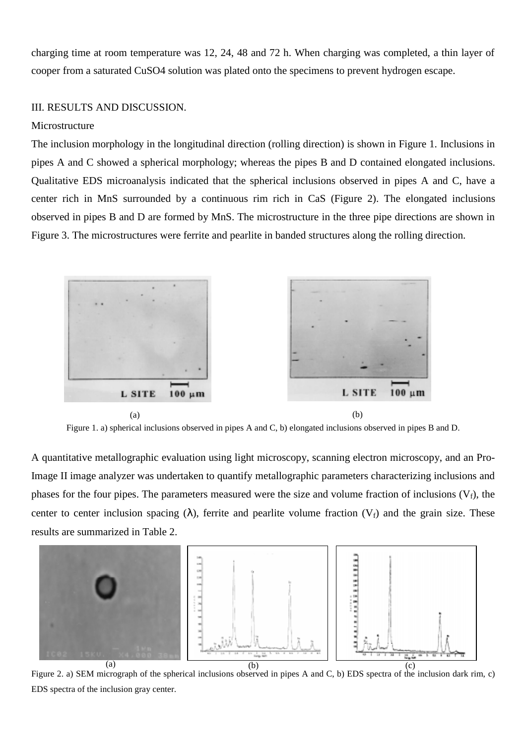charging time at room temperature was 12, 24, 48 and 72 h. When charging was completed, a thin layer of cooper from a saturated CuSO4 solution was plated onto the specimens to prevent hydrogen escape.

## III. RESULTS AND DISCUSSION.

## Microstructure

The inclusion morphology in the longitudinal direction (rolling direction) is shown in Figure 1. Inclusions in pipes A and C showed a spherical morphology; whereas the pipes B and D contained elongated inclusions. Qualitative EDS microanalysis indicated that the spherical inclusions observed in pipes A and C, have a center rich in MnS surrounded by a continuous rim rich in CaS (Figure 2). The elongated inclusions observed in pipes B and D are formed by MnS. The microstructure in the three pipe directions are shown in Figure 3. The microstructures were ferrite and pearlite in banded structures along the rolling direction.



Figure 1. a) spherical inclusions observed in pipes A and C, b) elongated inclusions observed in pipes B and D.

A quantitative metallographic evaluation using light microscopy, scanning electron microscopy, and an Pro-Image II image analyzer was undertaken to quantify metallographic parameters characterizing inclusions and phases for the four pipes. The parameters measured were the size and volume fraction of inclusions  $(V_f)$ , the center to center inclusion spacing ( $\lambda$ ), ferrite and pearlite volume fraction ( $V_f$ ) and the grain size. These results are summarized in Table 2.



Figure 2. a) SEM micrograph of the spherical inclusions observed in pipes A and C, b) EDS spectra of the inclusion dark rim, c) EDS spectra of the inclusion gray center.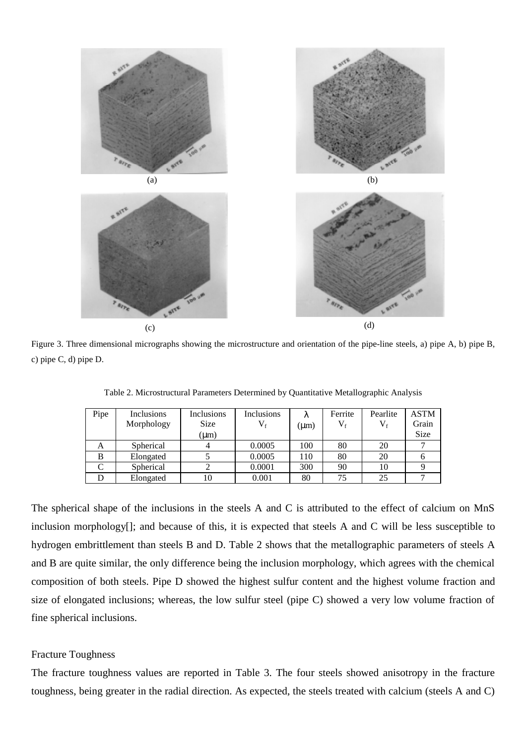

Figure 3. Three dimensional micrographs showing the microstructure and orientation of the pipe-line steels, a) pipe A, b) pipe B, c) pipe C, d) pipe D.

| Pipe | Inclusions | Inclusions  | Inclusions  | λ         | Ferrite | Pearlite        | <b>ASTM</b> |
|------|------------|-------------|-------------|-----------|---------|-----------------|-------------|
|      |            |             |             |           |         |                 |             |
|      | Morphology | <b>Size</b> | $V_{\rm f}$ | $(\mu m)$ | $V_{f}$ | $\rm V_{\rm f}$ | Grain       |
|      |            | $(\mu m)$   |             |           |         |                 | <b>Size</b> |
| A    | Spherical  |             | 0.0005      | 100       | 80      | 20              |             |
| B    | Elongated  |             | 0.0005      | 110       | 80      | 20              |             |
|      | Spherical  |             | 0.0001      | 300       | 90      | 10              |             |
|      | Elongated  |             | 0.001       | 80        | 75      | 25              |             |

Table 2. Microstructural Parameters Determined by Quantitative Metallographic Analysis

The spherical shape of the inclusions in the steels A and C is attributed to the effect of calcium on MnS inclusion morphology[]; and because of this, it is expected that steels A and C will be less susceptible to hydrogen embrittlement than steels B and D. Table 2 shows that the metallographic parameters of steels A and B are quite similar, the only difference being the inclusion morphology, which agrees with the chemical composition of both steels. Pipe D showed the highest sulfur content and the highest volume fraction and size of elongated inclusions; whereas, the low sulfur steel (pipe C) showed a very low volume fraction of fine spherical inclusions.

#### Fracture Toughness

The fracture toughness values are reported in Table 3. The four steels showed anisotropy in the fracture toughness, being greater in the radial direction. As expected, the steels treated with calcium (steels A and C)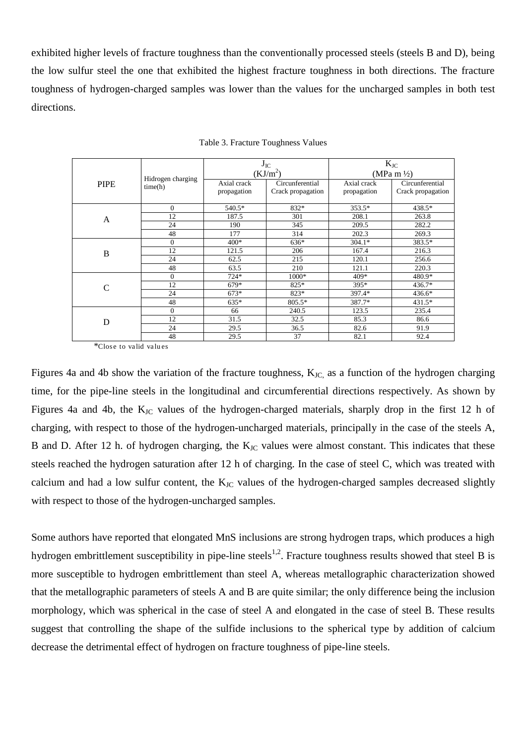exhibited higher levels of fracture toughness than the conventionally processed steels (steels B and D), being the low sulfur steel the one that exhibited the highest fracture toughness in both directions. The fracture toughness of hydrogen-charged samples was lower than the values for the uncharged samples in both test directions.

|             |                              |             | $J_{IC}$          | $K_{\rm JC}$<br>(MPa m $\frac{1}{2}$ ) |                   |  |
|-------------|------------------------------|-------------|-------------------|----------------------------------------|-------------------|--|
|             | Hidrogen charging<br>time(h) |             | $(KJ/m^2)$        |                                        |                   |  |
| <b>PIPE</b> |                              | Axial crack | Circunferential   | Axial crack                            | Circunferential   |  |
|             |                              | propagation | Crack propagation | propagation                            | Crack propagation |  |
|             |                              |             |                   |                                        |                   |  |
|             | $\theta$                     | 540.5*      | 832*              | 353.5*                                 | 438.5*            |  |
| A           | 12                           | 187.5       | 301               | 208.1                                  | 263.8             |  |
|             | 24                           | 190         | 345               | 209.5                                  | 282.2             |  |
|             | 48                           | 177         | 314               | 202.3                                  | 269.3             |  |
| B           | $\overline{0}$               | $400*$      | $636*$            | $304.1*$                               | 383.5*            |  |
|             | 12                           | 121.5       | 206               | 167.4                                  | 216.3             |  |
|             | 24                           | 62.5        | 215               | 120.1                                  | 256.6             |  |
|             | 48                           | 63.5        | 210               | 121.1                                  | 220.3             |  |
| C           | $\theta$                     | $724*$      | $1000*$           | 409*                                   | 480.9*            |  |
|             | 12                           | 679*        | 825*              | $395*$                                 | 436.7*            |  |
|             | 24                           | $673*$      | 823*              | 397.4*                                 | 436.6*            |  |
|             | 48                           | 635*        | 805.5*            | 387.7*                                 | 431.5*            |  |
| D           | $\theta$                     | 66          | 240.5             | 123.5                                  | 235.4             |  |
|             | 12                           | 31.5        | 32.5              | 85.3                                   | 86.6              |  |
|             | 24                           | 29.5        | 36.5              | 82.6                                   | 91.9              |  |
|             | 48                           | 29.5        | 37                | 82.1                                   | 92.4              |  |

Table 3. Fracture Toughness Values

\*Clos e to va lid va lu es

Figures 4a and 4b show the variation of the fracture toughness,  $K_{\text{JC}}$  as a function of the hydrogen charging time, for the pipe-line steels in the longitudinal and circumferential directions respectively. As shown by Figures 4a and 4b, the K<sub>JC</sub> values of the hydrogen-charged materials, sharply drop in the first 12 h of charging, with respect to those of the hydrogen-uncharged materials, principally in the case of the steels A, B and D. After 12 h. of hydrogen charging, the  $K_{\text{JC}}$  values were almost constant. This indicates that these steels reached the hydrogen saturation after 12 h of charging. In the case of steel C, which was treated with calcium and had a low sulfur content, the  $K_{\text{JC}}$  values of the hydrogen-charged samples decreased slightly with respect to those of the hydrogen-uncharged samples.

Some authors have reported that elongated MnS inclusions are strong hydrogen traps, which produces a high hydrogen embrittlement susceptibility in pipe-line steels<sup>1,2</sup>. Fracture toughness results showed that steel B is more susceptible to hydrogen embrittlement than steel A, whereas metallographic characterization showed that the metallographic parameters of steels A and B are quite similar; the only difference being the inclusion morphology, which was spherical in the case of steel A and elongated in the case of steel B. These results suggest that controlling the shape of the sulfide inclusions to the spherical type by addition of calcium decrease the detrimental effect of hydrogen on fracture toughness of pipe-line steels.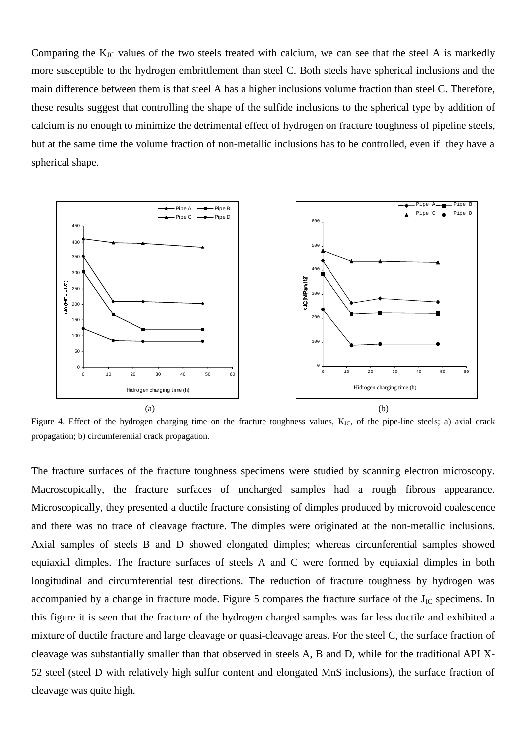Comparing the  $K_{JC}$  values of the two steels treated with calcium, we can see that the steel A is markedly more susceptible to the hydrogen embrittlement than steel C. Both steels have spherical inclusions and the main difference between them is that steel A has a higher inclusions volume fraction than steel C. Therefore, these results suggest that controlling the shape of the sulfide inclusions to the spherical type by addition of calcium is no enough to minimize the detrimental effect of hydrogen on fracture toughness of pipeline steels, but at the same time the volume fraction of non-metallic inclusions has to be controlled, even if they have a spherical shape.



Figure 4. Effect of the hydrogen charging time on the fracture toughness values,  $K_{\text{JC}}$ , of the pipe-line steels; a) axial crack propagation; b) circumferential crack propagation.

The fracture surfaces of the fracture toughness specimens were studied by scanning electron microscopy. Macroscopically, the fracture surfaces of uncharged samples had a rough fibrous appearance. Microscopically, they presented a ductile fracture consisting of dimples produced by microvoid coalescence and there was no trace of cleavage fracture. The dimples were originated at the non-metallic inclusions. Axial samples of steels B and D showed elongated dimples; whereas circunferential samples showed equiaxial dimples. The fracture surfaces of steels A and C were formed by equiaxial dimples in both longitudinal and circumferential test directions. The reduction of fracture toughness by hydrogen was accompanied by a change in fracture mode. Figure 5 compares the fracture surface of the  $J_{IC}$  specimens. In this figure it is seen that the fracture of the hydrogen charged samples was far less ductile and exhibited a mixture of ductile fracture and large cleavage or quasi-cleavage areas. For the steel C, the surface fraction of cleavage was substantially smaller than that observed in steels A, B and D, while for the traditional API X-52 steel (steel D with relatively high sulfur content and elongated MnS inclusions), the surface fraction of cleavage was quite high.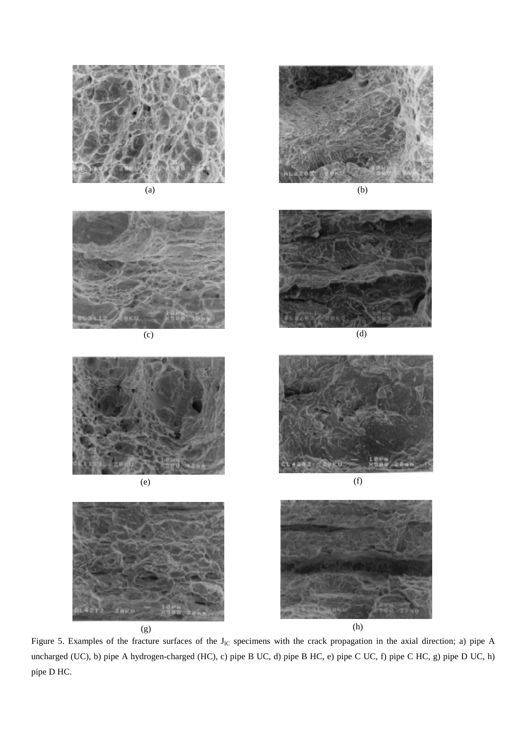















Figure 5. Examples of the fracture surfaces of the  $J_{IC}$  specimens with the crack propagation in the axial direction; a) pipe A uncharged (UC), b) pipe A hydrogen-charged (HC), c) pipe B UC, d) pipe B HC, e) pipe C UC, f) pipe C HC, g) pipe D UC, h) pipe D HC.